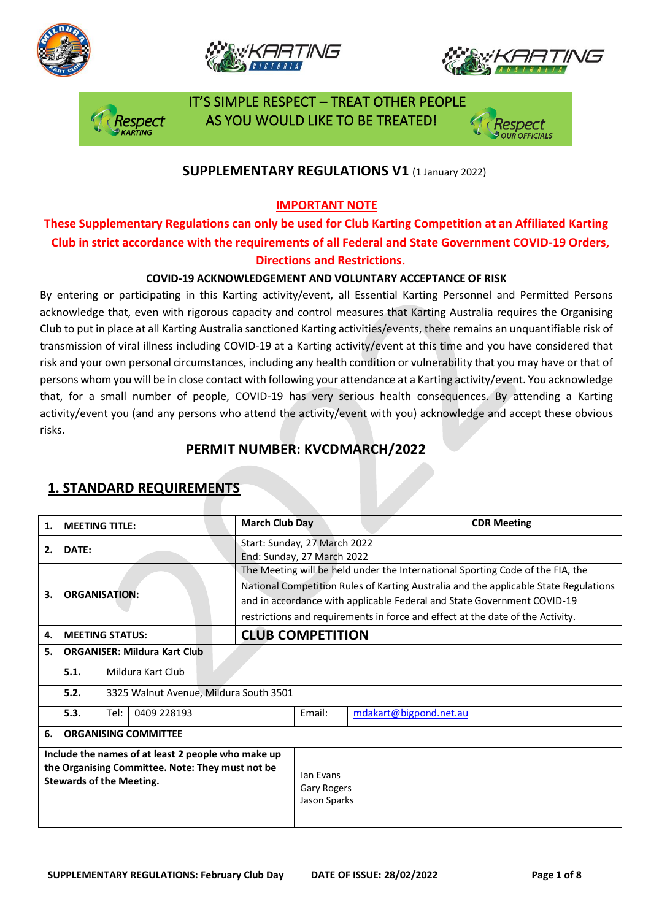







 IT'S SIMPLE RESPECT – TREAT OTHER PEOPLE AS YOU WOULD LIKE TO BE TREATED!

## **SUPPLEMENTARY REGULATIONS V1 (1 January 2022)**

### **IMPORTANT NOTE**

## **These Supplementary Regulations can only be used for Club Karting Competition at an Affiliated Karting Club in strict accordance with the requirements of all Federal and State Government COVID-19 Orders, Directions and Restrictions.**

### **COVID-19 ACKNOWLEDGEMENT AND VOLUNTARY ACCEPTANCE OF RISK**

By entering or participating in this Karting activity/event, all Essential Karting Personnel and Permitted Persons acknowledge that, even with rigorous capacity and control measures that Karting Australia requires the Organising Club to put in place at all Karting Australia sanctioned Karting activities/events, there remains an unquantifiable risk of transmission of viral illness including COVID-19 at a Karting activity/event at this time and you have considered that risk and your own personal circumstances, including any health condition or vulnerability that you may have or that of persons whom you will be in close contact with following your attendance at a Karting activity/event. You acknowledge that, for a small number of people, COVID-19 has very serious health consequences. By attending a Karting activity/event you (and any persons who attend the activity/event with you) acknowledge and accept these obvious risks.

## **PERMIT NUMBER: KVCDMARCH/2022**

| 1.                                                                                                                                        | <b>MEETING TITLE:</b>               | <b>March Club Day</b>                  |                                                                                                                                                                                                                                                                                                                                     |  | <b>CDR Meeting</b> |  |
|-------------------------------------------------------------------------------------------------------------------------------------------|-------------------------------------|----------------------------------------|-------------------------------------------------------------------------------------------------------------------------------------------------------------------------------------------------------------------------------------------------------------------------------------------------------------------------------------|--|--------------------|--|
| 2.                                                                                                                                        | DATE:                               |                                        | Start: Sunday, 27 March 2022<br>End: Sunday, 27 March 2022                                                                                                                                                                                                                                                                          |  |                    |  |
| З.                                                                                                                                        | <b>ORGANISATION:</b>                |                                        | The Meeting will be held under the International Sporting Code of the FIA, the<br>National Competition Rules of Karting Australia and the applicable State Regulations<br>and in accordance with applicable Federal and State Government COVID-19<br>restrictions and requirements in force and effect at the date of the Activity. |  |                    |  |
| 4.                                                                                                                                        | <b>MEETING STATUS:</b>              |                                        | <b>CLUB COMPETITION</b>                                                                                                                                                                                                                                                                                                             |  |                    |  |
| 5.                                                                                                                                        | <b>ORGANISER: Mildura Kart Club</b> |                                        |                                                                                                                                                                                                                                                                                                                                     |  |                    |  |
|                                                                                                                                           | 5.1.<br>Mildura Kart Club           |                                        |                                                                                                                                                                                                                                                                                                                                     |  |                    |  |
|                                                                                                                                           | 5.2.                                | 3325 Walnut Avenue, Mildura South 3501 |                                                                                                                                                                                                                                                                                                                                     |  |                    |  |
|                                                                                                                                           | 5.3.<br>Tel:<br>0409 228193         | Email:                                 | mdakart@bigpond.net.au                                                                                                                                                                                                                                                                                                              |  |                    |  |
| 6.                                                                                                                                        | <b>ORGANISING COMMITTEE</b>         |                                        |                                                                                                                                                                                                                                                                                                                                     |  |                    |  |
| Include the names of at least 2 people who make up<br>the Organising Committee. Note: They must not be<br><b>Stewards of the Meeting.</b> |                                     |                                        | lan Evans<br><b>Gary Rogers</b><br>Jason Sparks                                                                                                                                                                                                                                                                                     |  |                    |  |

## **1. STANDARD REQUIREMENTS**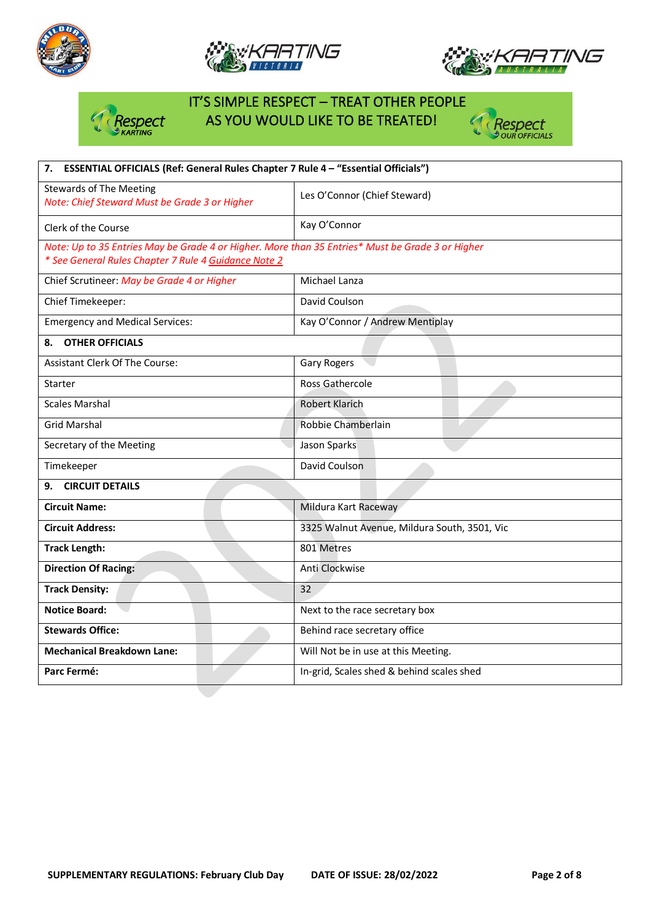







# IT'S SIMPLE RESPECT – TREAT OTHER PEOPLE Respect AS YOU WOULD LIKE TO BE TREATED!



| 7. ESSENTIAL OFFICIALS (Ref: General Rules Chapter 7 Rule 4 - "Essential Officials")                                                                     |                                              |  |  |  |
|----------------------------------------------------------------------------------------------------------------------------------------------------------|----------------------------------------------|--|--|--|
| <b>Stewards of The Meeting</b><br>Note: Chief Steward Must be Grade 3 or Higher                                                                          | Les O'Connor (Chief Steward)                 |  |  |  |
| Clerk of the Course                                                                                                                                      | Kay O'Connor                                 |  |  |  |
| Note: Up to 35 Entries May be Grade 4 or Higher. More than 35 Entries* Must be Grade 3 or Higher<br>* See General Rules Chapter 7 Rule 4 Guidance Note 2 |                                              |  |  |  |
| Chief Scrutineer: May be Grade 4 or Higher                                                                                                               | Michael Lanza                                |  |  |  |
| Chief Timekeeper:                                                                                                                                        | David Coulson                                |  |  |  |
| <b>Emergency and Medical Services:</b>                                                                                                                   | Kay O'Connor / Andrew Mentiplay              |  |  |  |
| <b>OTHER OFFICIALS</b><br>8.                                                                                                                             |                                              |  |  |  |
| Assistant Clerk Of The Course:                                                                                                                           | <b>Gary Rogers</b>                           |  |  |  |
| <b>Starter</b>                                                                                                                                           | <b>Ross Gathercole</b>                       |  |  |  |
| Scales Marshal                                                                                                                                           | <b>Robert Klarich</b>                        |  |  |  |
| <b>Grid Marshal</b>                                                                                                                                      | Robbie Chamberlain                           |  |  |  |
| Secretary of the Meeting                                                                                                                                 | Jason Sparks                                 |  |  |  |
| Timekeeper                                                                                                                                               | David Coulson                                |  |  |  |
| <b>CIRCUIT DETAILS</b><br>9.                                                                                                                             |                                              |  |  |  |
| <b>Circuit Name:</b>                                                                                                                                     | Mildura Kart Raceway                         |  |  |  |
| <b>Circuit Address:</b>                                                                                                                                  | 3325 Walnut Avenue, Mildura South, 3501, Vic |  |  |  |
| <b>Track Length:</b>                                                                                                                                     | 801 Metres                                   |  |  |  |
| <b>Direction Of Racing:</b>                                                                                                                              | Anti Clockwise                               |  |  |  |
| <b>Track Density:</b>                                                                                                                                    | 32                                           |  |  |  |
| <b>Notice Board:</b>                                                                                                                                     | Next to the race secretary box               |  |  |  |
| <b>Stewards Office:</b>                                                                                                                                  | Behind race secretary office                 |  |  |  |
| <b>Mechanical Breakdown Lane:</b>                                                                                                                        | Will Not be in use at this Meeting.          |  |  |  |
| Parc Fermé:                                                                                                                                              | In-grid, Scales shed & behind scales shed    |  |  |  |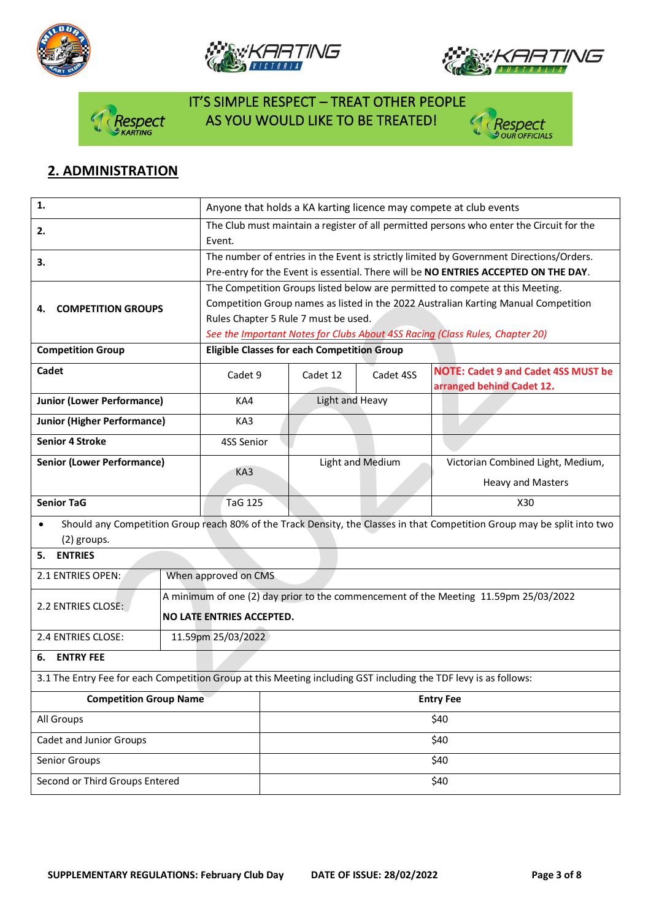







## IT'S SIMPLE RESPECT – TREAT OTHER PEOPLE spect AS YOU WOULD LIKE TO BE TREATED!



## **2. ADMINISTRATION**

| 1.                                                                                                               |                      | Anyone that holds a KA karting licence may compete at club events                        |                  |                                                                                                                          |  |  |
|------------------------------------------------------------------------------------------------------------------|----------------------|------------------------------------------------------------------------------------------|------------------|--------------------------------------------------------------------------------------------------------------------------|--|--|
| 2.                                                                                                               | Event.               | The Club must maintain a register of all permitted persons who enter the Circuit for the |                  |                                                                                                                          |  |  |
| 3.                                                                                                               |                      |                                                                                          |                  | The number of entries in the Event is strictly limited by Government Directions/Orders.                                  |  |  |
|                                                                                                                  |                      |                                                                                          |                  | Pre-entry for the Event is essential. There will be NO ENTRIES ACCEPTED ON THE DAY.                                      |  |  |
|                                                                                                                  |                      | The Competition Groups listed below are permitted to compete at this Meeting.            |                  |                                                                                                                          |  |  |
| <b>COMPETITION GROUPS</b><br>4.                                                                                  |                      | Competition Group names as listed in the 2022 Australian Karting Manual Competition      |                  |                                                                                                                          |  |  |
|                                                                                                                  |                      | Rules Chapter 5 Rule 7 must be used.                                                     |                  |                                                                                                                          |  |  |
|                                                                                                                  |                      | See the Important Notes for Clubs About 4SS Racing (Class Rules, Chapter 20)             |                  |                                                                                                                          |  |  |
| <b>Competition Group</b>                                                                                         |                      | <b>Eligible Classes for each Competition Group</b>                                       |                  |                                                                                                                          |  |  |
| Cadet                                                                                                            | Cadet 9              | Cadet 12                                                                                 | Cadet 4SS        | <b>NOTE: Cadet 9 and Cadet 4SS MUST be</b><br>arranged behind Cadet 12.                                                  |  |  |
| <b>Junior (Lower Performance)</b>                                                                                | KA4                  | Light and Heavy                                                                          |                  |                                                                                                                          |  |  |
| <b>Junior (Higher Performance)</b>                                                                               | KA3                  |                                                                                          |                  |                                                                                                                          |  |  |
| <b>Senior 4 Stroke</b>                                                                                           | 4SS Senior           |                                                                                          |                  |                                                                                                                          |  |  |
| <b>Senior (Lower Performance)</b>                                                                                |                      |                                                                                          | Light and Medium | Victorian Combined Light, Medium,                                                                                        |  |  |
|                                                                                                                  | KA3                  |                                                                                          |                  | <b>Heavy and Masters</b>                                                                                                 |  |  |
| <b>Senior TaG</b>                                                                                                | <b>TaG 125</b>       |                                                                                          |                  | X30                                                                                                                      |  |  |
|                                                                                                                  |                      |                                                                                          |                  |                                                                                                                          |  |  |
| $\bullet$<br>(2) groups.                                                                                         |                      |                                                                                          |                  | Should any Competition Group reach 80% of the Track Density, the Classes in that Competition Group may be split into two |  |  |
| <b>ENTRIES</b><br>5.                                                                                             |                      |                                                                                          |                  |                                                                                                                          |  |  |
| 2.1 ENTRIES OPEN:                                                                                                | When approved on CMS |                                                                                          |                  |                                                                                                                          |  |  |
|                                                                                                                  |                      | A minimum of one (2) day prior to the commencement of the Meeting 11.59pm 25/03/2022     |                  |                                                                                                                          |  |  |
| 2.2 ENTRIES CLOSE:                                                                                               |                      | NO LATE ENTRIES ACCEPTED.                                                                |                  |                                                                                                                          |  |  |
|                                                                                                                  |                      |                                                                                          |                  |                                                                                                                          |  |  |
| 2.4 ENTRIES CLOSE:                                                                                               | 11.59pm 25/03/2022   |                                                                                          |                  |                                                                                                                          |  |  |
| <b>ENTRY FEE</b><br>6.                                                                                           |                      |                                                                                          |                  |                                                                                                                          |  |  |
| 3.1 The Entry Fee for each Competition Group at this Meeting including GST including the TDF levy is as follows: |                      |                                                                                          |                  |                                                                                                                          |  |  |
| <b>Competition Group Name</b>                                                                                    | <b>Entry Fee</b>     |                                                                                          |                  |                                                                                                                          |  |  |
| All Groups                                                                                                       | \$40                 |                                                                                          |                  |                                                                                                                          |  |  |
| Cadet and Junior Groups                                                                                          |                      | \$40                                                                                     |                  |                                                                                                                          |  |  |
| Senior Groups                                                                                                    |                      | \$40                                                                                     |                  |                                                                                                                          |  |  |
| Second or Third Groups Entered                                                                                   |                      | \$40                                                                                     |                  |                                                                                                                          |  |  |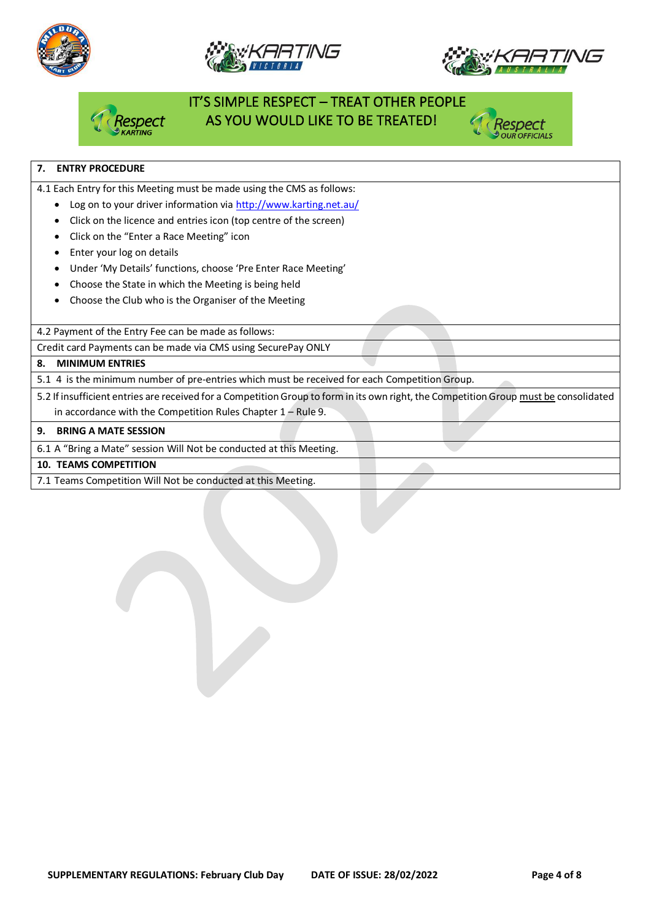







## IT'S SIMPLE RESPECT – TREAT OTHER PEOPLE AS YOU WOULD LIKE TO BE TREATED!



### **7. ENTRY PROCEDURE**

4.1 Each Entry for this Meeting must be made using the CMS as follows:

- Log on to your driver information vi[a http://www.karting.net.au/](http://www.karting.net.au/)
- Click on the licence and entries icon (top centre of the screen)
- Click on the "Enter a Race Meeting" icon
- Enter your log on details
- Under 'My Details' functions, choose 'Pre Enter Race Meeting'
- Choose the State in which the Meeting is being held
- Choose the Club who is the Organiser of the Meeting

4.2 Payment of the Entry Fee can be made as follows:

Credit card Payments can be made via CMS using SecurePay ONLY

#### **8. MINIMUM ENTRIES**

5.1 4 is the minimum number of pre-entries which must be received for each Competition Group.

5.2 If insufficient entries are received for a Competition Group to form in its own right, the Competition Group must be consolidated in accordance with the Competition Rules Chapter 1 – Rule 9.

#### **9. BRING A MATE SESSION**

6.1 A "Bring a Mate" session Will Not be conducted at this Meeting.

#### **10. TEAMS COMPETITION**

7.1 Teams Competition Will Not be conducted at this Meeting.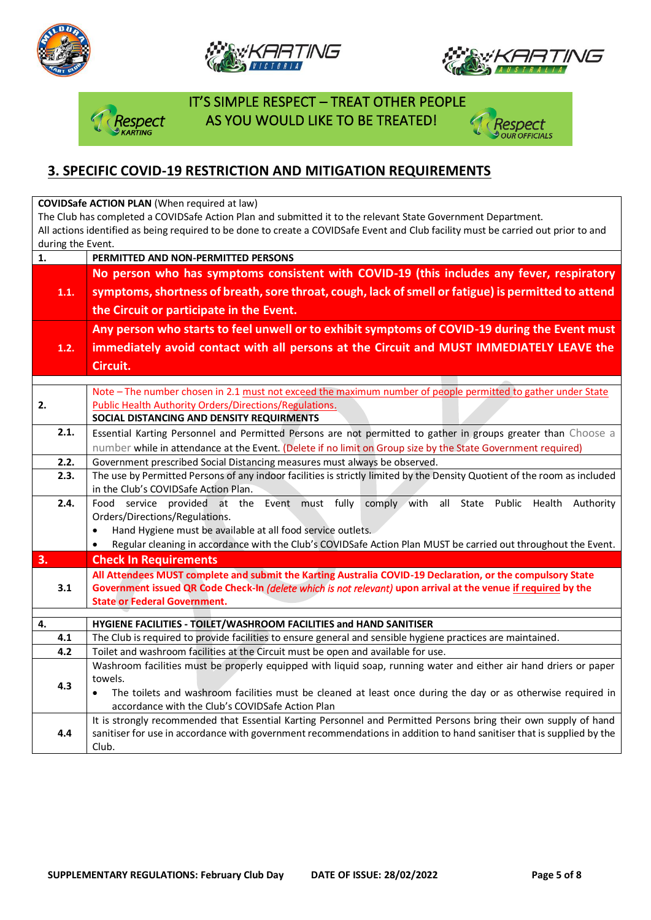







 IT'S SIMPLE RESPECT – TREAT OTHER PEOPLE **Dect AS YOU WOULD LIKE TO BE TREATED!** 



## **3. SPECIFIC COVID-19 RESTRICTION AND MITIGATION REQUIREMENTS**

**COVIDSafe ACTION PLAN** (When required at law)

The Club has completed a COVIDSafe Action Plan and submitted it to the relevant State Government Department. All actions identified as being required to be done to create a COVIDSafe Event and Club facility must be carried out prior to and during the Event.

| No person who has symptoms consistent with COVID-19 (this includes any fever, respiratory<br>symptoms, shortness of breath, sore throat, cough, lack of smell or fatigue) is permitted to attend<br>1.1.<br>the Circuit or participate in the Event.<br>Any person who starts to feel unwell or to exhibit symptoms of COVID-19 during the Event must<br>immediately avoid contact with all persons at the Circuit and MUST IMMEDIATELY LEAVE the<br>1.2.<br>Circuit.<br>Note - The number chosen in 2.1 must not exceed the maximum number of people permitted to gather under State<br>2.<br><b>Public Health Authority Orders/Directions/Regulations.</b><br>SOCIAL DISTANCING AND DENSITY REQUIRMENTS<br>2.1.<br>Essential Karting Personnel and Permitted Persons are not permitted to gather in groups greater than Choose a<br>number while in attendance at the Event. (Delete if no limit on Group size by the State Government required)<br>2.2.<br>Government prescribed Social Distancing measures must always be observed.<br>2.3.<br>The use by Permitted Persons of any indoor facilities is strictly limited by the Density Quotient of the room as included<br>in the Club's COVIDSafe Action Plan.<br>2.4.<br>Food service provided at the Event must fully comply with<br>all State Public Health<br>Authority<br>Orders/Directions/Regulations.<br>Hand Hygiene must be available at all food service outlets.<br>$\bullet$<br>Regular cleaning in accordance with the Club's COVIDSafe Action Plan MUST be carried out throughout the Event.<br>$\bullet$<br>3.<br><b>Check In Requirements</b><br>All Attendees MUST complete and submit the Karting Australia COVID-19 Declaration, or the compulsory State<br>Government issued QR Code Check-In (delete which is not relevant) upon arrival at the venue if required by the<br>3.1<br><b>State or Federal Government.</b><br>4.<br>HYGIENE FACILITIES - TOILET/WASHROOM FACILITIES and HAND SANITISER<br>4.1<br>The Club is required to provide facilities to ensure general and sensible hygiene practices are maintained.<br>Toilet and washroom facilities at the Circuit must be open and available for use.<br>4.2<br>Washroom facilities must be properly equipped with liquid soap, running water and either air hand driers or paper<br>towels.<br>4.3<br>The toilets and washroom facilities must be cleaned at least once during the day or as otherwise required in<br>$\bullet$<br>accordance with the Club's COVIDSafe Action Plan<br>It is strongly recommended that Essential Karting Personnel and Permitted Persons bring their own supply of hand<br>sanitiser for use in accordance with government recommendations in addition to hand sanitiser that is supplied by the<br>4.4<br>Club. | 1. | PERMITTED AND NON-PERMITTED PERSONS |  |  |  |  |  |
|---------------------------------------------------------------------------------------------------------------------------------------------------------------------------------------------------------------------------------------------------------------------------------------------------------------------------------------------------------------------------------------------------------------------------------------------------------------------------------------------------------------------------------------------------------------------------------------------------------------------------------------------------------------------------------------------------------------------------------------------------------------------------------------------------------------------------------------------------------------------------------------------------------------------------------------------------------------------------------------------------------------------------------------------------------------------------------------------------------------------------------------------------------------------------------------------------------------------------------------------------------------------------------------------------------------------------------------------------------------------------------------------------------------------------------------------------------------------------------------------------------------------------------------------------------------------------------------------------------------------------------------------------------------------------------------------------------------------------------------------------------------------------------------------------------------------------------------------------------------------------------------------------------------------------------------------------------------------------------------------------------------------------------------------------------------------------------------------------------------------------------------------------------------------------------------------------------------------------------------------------------------------------------------------------------------------------------------------------------------------------------------------------------------------------------------------------------------------------------------------------------------------------------------------------------------------------------------------------------------------------------------------------------------------------------------------------------------------------------------------------------------------------------------|----|-------------------------------------|--|--|--|--|--|
|                                                                                                                                                                                                                                                                                                                                                                                                                                                                                                                                                                                                                                                                                                                                                                                                                                                                                                                                                                                                                                                                                                                                                                                                                                                                                                                                                                                                                                                                                                                                                                                                                                                                                                                                                                                                                                                                                                                                                                                                                                                                                                                                                                                                                                                                                                                                                                                                                                                                                                                                                                                                                                                                                                                                                                                       |    |                                     |  |  |  |  |  |
|                                                                                                                                                                                                                                                                                                                                                                                                                                                                                                                                                                                                                                                                                                                                                                                                                                                                                                                                                                                                                                                                                                                                                                                                                                                                                                                                                                                                                                                                                                                                                                                                                                                                                                                                                                                                                                                                                                                                                                                                                                                                                                                                                                                                                                                                                                                                                                                                                                                                                                                                                                                                                                                                                                                                                                                       |    |                                     |  |  |  |  |  |
|                                                                                                                                                                                                                                                                                                                                                                                                                                                                                                                                                                                                                                                                                                                                                                                                                                                                                                                                                                                                                                                                                                                                                                                                                                                                                                                                                                                                                                                                                                                                                                                                                                                                                                                                                                                                                                                                                                                                                                                                                                                                                                                                                                                                                                                                                                                                                                                                                                                                                                                                                                                                                                                                                                                                                                                       |    |                                     |  |  |  |  |  |
|                                                                                                                                                                                                                                                                                                                                                                                                                                                                                                                                                                                                                                                                                                                                                                                                                                                                                                                                                                                                                                                                                                                                                                                                                                                                                                                                                                                                                                                                                                                                                                                                                                                                                                                                                                                                                                                                                                                                                                                                                                                                                                                                                                                                                                                                                                                                                                                                                                                                                                                                                                                                                                                                                                                                                                                       |    |                                     |  |  |  |  |  |
|                                                                                                                                                                                                                                                                                                                                                                                                                                                                                                                                                                                                                                                                                                                                                                                                                                                                                                                                                                                                                                                                                                                                                                                                                                                                                                                                                                                                                                                                                                                                                                                                                                                                                                                                                                                                                                                                                                                                                                                                                                                                                                                                                                                                                                                                                                                                                                                                                                                                                                                                                                                                                                                                                                                                                                                       |    |                                     |  |  |  |  |  |
|                                                                                                                                                                                                                                                                                                                                                                                                                                                                                                                                                                                                                                                                                                                                                                                                                                                                                                                                                                                                                                                                                                                                                                                                                                                                                                                                                                                                                                                                                                                                                                                                                                                                                                                                                                                                                                                                                                                                                                                                                                                                                                                                                                                                                                                                                                                                                                                                                                                                                                                                                                                                                                                                                                                                                                                       |    |                                     |  |  |  |  |  |
|                                                                                                                                                                                                                                                                                                                                                                                                                                                                                                                                                                                                                                                                                                                                                                                                                                                                                                                                                                                                                                                                                                                                                                                                                                                                                                                                                                                                                                                                                                                                                                                                                                                                                                                                                                                                                                                                                                                                                                                                                                                                                                                                                                                                                                                                                                                                                                                                                                                                                                                                                                                                                                                                                                                                                                                       |    |                                     |  |  |  |  |  |
|                                                                                                                                                                                                                                                                                                                                                                                                                                                                                                                                                                                                                                                                                                                                                                                                                                                                                                                                                                                                                                                                                                                                                                                                                                                                                                                                                                                                                                                                                                                                                                                                                                                                                                                                                                                                                                                                                                                                                                                                                                                                                                                                                                                                                                                                                                                                                                                                                                                                                                                                                                                                                                                                                                                                                                                       |    |                                     |  |  |  |  |  |
|                                                                                                                                                                                                                                                                                                                                                                                                                                                                                                                                                                                                                                                                                                                                                                                                                                                                                                                                                                                                                                                                                                                                                                                                                                                                                                                                                                                                                                                                                                                                                                                                                                                                                                                                                                                                                                                                                                                                                                                                                                                                                                                                                                                                                                                                                                                                                                                                                                                                                                                                                                                                                                                                                                                                                                                       |    |                                     |  |  |  |  |  |
|                                                                                                                                                                                                                                                                                                                                                                                                                                                                                                                                                                                                                                                                                                                                                                                                                                                                                                                                                                                                                                                                                                                                                                                                                                                                                                                                                                                                                                                                                                                                                                                                                                                                                                                                                                                                                                                                                                                                                                                                                                                                                                                                                                                                                                                                                                                                                                                                                                                                                                                                                                                                                                                                                                                                                                                       |    |                                     |  |  |  |  |  |
|                                                                                                                                                                                                                                                                                                                                                                                                                                                                                                                                                                                                                                                                                                                                                                                                                                                                                                                                                                                                                                                                                                                                                                                                                                                                                                                                                                                                                                                                                                                                                                                                                                                                                                                                                                                                                                                                                                                                                                                                                                                                                                                                                                                                                                                                                                                                                                                                                                                                                                                                                                                                                                                                                                                                                                                       |    |                                     |  |  |  |  |  |
|                                                                                                                                                                                                                                                                                                                                                                                                                                                                                                                                                                                                                                                                                                                                                                                                                                                                                                                                                                                                                                                                                                                                                                                                                                                                                                                                                                                                                                                                                                                                                                                                                                                                                                                                                                                                                                                                                                                                                                                                                                                                                                                                                                                                                                                                                                                                                                                                                                                                                                                                                                                                                                                                                                                                                                                       |    |                                     |  |  |  |  |  |
|                                                                                                                                                                                                                                                                                                                                                                                                                                                                                                                                                                                                                                                                                                                                                                                                                                                                                                                                                                                                                                                                                                                                                                                                                                                                                                                                                                                                                                                                                                                                                                                                                                                                                                                                                                                                                                                                                                                                                                                                                                                                                                                                                                                                                                                                                                                                                                                                                                                                                                                                                                                                                                                                                                                                                                                       |    |                                     |  |  |  |  |  |
|                                                                                                                                                                                                                                                                                                                                                                                                                                                                                                                                                                                                                                                                                                                                                                                                                                                                                                                                                                                                                                                                                                                                                                                                                                                                                                                                                                                                                                                                                                                                                                                                                                                                                                                                                                                                                                                                                                                                                                                                                                                                                                                                                                                                                                                                                                                                                                                                                                                                                                                                                                                                                                                                                                                                                                                       |    |                                     |  |  |  |  |  |
|                                                                                                                                                                                                                                                                                                                                                                                                                                                                                                                                                                                                                                                                                                                                                                                                                                                                                                                                                                                                                                                                                                                                                                                                                                                                                                                                                                                                                                                                                                                                                                                                                                                                                                                                                                                                                                                                                                                                                                                                                                                                                                                                                                                                                                                                                                                                                                                                                                                                                                                                                                                                                                                                                                                                                                                       |    |                                     |  |  |  |  |  |
|                                                                                                                                                                                                                                                                                                                                                                                                                                                                                                                                                                                                                                                                                                                                                                                                                                                                                                                                                                                                                                                                                                                                                                                                                                                                                                                                                                                                                                                                                                                                                                                                                                                                                                                                                                                                                                                                                                                                                                                                                                                                                                                                                                                                                                                                                                                                                                                                                                                                                                                                                                                                                                                                                                                                                                                       |    |                                     |  |  |  |  |  |
|                                                                                                                                                                                                                                                                                                                                                                                                                                                                                                                                                                                                                                                                                                                                                                                                                                                                                                                                                                                                                                                                                                                                                                                                                                                                                                                                                                                                                                                                                                                                                                                                                                                                                                                                                                                                                                                                                                                                                                                                                                                                                                                                                                                                                                                                                                                                                                                                                                                                                                                                                                                                                                                                                                                                                                                       |    |                                     |  |  |  |  |  |
|                                                                                                                                                                                                                                                                                                                                                                                                                                                                                                                                                                                                                                                                                                                                                                                                                                                                                                                                                                                                                                                                                                                                                                                                                                                                                                                                                                                                                                                                                                                                                                                                                                                                                                                                                                                                                                                                                                                                                                                                                                                                                                                                                                                                                                                                                                                                                                                                                                                                                                                                                                                                                                                                                                                                                                                       |    |                                     |  |  |  |  |  |
|                                                                                                                                                                                                                                                                                                                                                                                                                                                                                                                                                                                                                                                                                                                                                                                                                                                                                                                                                                                                                                                                                                                                                                                                                                                                                                                                                                                                                                                                                                                                                                                                                                                                                                                                                                                                                                                                                                                                                                                                                                                                                                                                                                                                                                                                                                                                                                                                                                                                                                                                                                                                                                                                                                                                                                                       |    |                                     |  |  |  |  |  |
|                                                                                                                                                                                                                                                                                                                                                                                                                                                                                                                                                                                                                                                                                                                                                                                                                                                                                                                                                                                                                                                                                                                                                                                                                                                                                                                                                                                                                                                                                                                                                                                                                                                                                                                                                                                                                                                                                                                                                                                                                                                                                                                                                                                                                                                                                                                                                                                                                                                                                                                                                                                                                                                                                                                                                                                       |    |                                     |  |  |  |  |  |
|                                                                                                                                                                                                                                                                                                                                                                                                                                                                                                                                                                                                                                                                                                                                                                                                                                                                                                                                                                                                                                                                                                                                                                                                                                                                                                                                                                                                                                                                                                                                                                                                                                                                                                                                                                                                                                                                                                                                                                                                                                                                                                                                                                                                                                                                                                                                                                                                                                                                                                                                                                                                                                                                                                                                                                                       |    |                                     |  |  |  |  |  |
|                                                                                                                                                                                                                                                                                                                                                                                                                                                                                                                                                                                                                                                                                                                                                                                                                                                                                                                                                                                                                                                                                                                                                                                                                                                                                                                                                                                                                                                                                                                                                                                                                                                                                                                                                                                                                                                                                                                                                                                                                                                                                                                                                                                                                                                                                                                                                                                                                                                                                                                                                                                                                                                                                                                                                                                       |    |                                     |  |  |  |  |  |
|                                                                                                                                                                                                                                                                                                                                                                                                                                                                                                                                                                                                                                                                                                                                                                                                                                                                                                                                                                                                                                                                                                                                                                                                                                                                                                                                                                                                                                                                                                                                                                                                                                                                                                                                                                                                                                                                                                                                                                                                                                                                                                                                                                                                                                                                                                                                                                                                                                                                                                                                                                                                                                                                                                                                                                                       |    |                                     |  |  |  |  |  |
|                                                                                                                                                                                                                                                                                                                                                                                                                                                                                                                                                                                                                                                                                                                                                                                                                                                                                                                                                                                                                                                                                                                                                                                                                                                                                                                                                                                                                                                                                                                                                                                                                                                                                                                                                                                                                                                                                                                                                                                                                                                                                                                                                                                                                                                                                                                                                                                                                                                                                                                                                                                                                                                                                                                                                                                       |    |                                     |  |  |  |  |  |
|                                                                                                                                                                                                                                                                                                                                                                                                                                                                                                                                                                                                                                                                                                                                                                                                                                                                                                                                                                                                                                                                                                                                                                                                                                                                                                                                                                                                                                                                                                                                                                                                                                                                                                                                                                                                                                                                                                                                                                                                                                                                                                                                                                                                                                                                                                                                                                                                                                                                                                                                                                                                                                                                                                                                                                                       |    |                                     |  |  |  |  |  |
|                                                                                                                                                                                                                                                                                                                                                                                                                                                                                                                                                                                                                                                                                                                                                                                                                                                                                                                                                                                                                                                                                                                                                                                                                                                                                                                                                                                                                                                                                                                                                                                                                                                                                                                                                                                                                                                                                                                                                                                                                                                                                                                                                                                                                                                                                                                                                                                                                                                                                                                                                                                                                                                                                                                                                                                       |    |                                     |  |  |  |  |  |
|                                                                                                                                                                                                                                                                                                                                                                                                                                                                                                                                                                                                                                                                                                                                                                                                                                                                                                                                                                                                                                                                                                                                                                                                                                                                                                                                                                                                                                                                                                                                                                                                                                                                                                                                                                                                                                                                                                                                                                                                                                                                                                                                                                                                                                                                                                                                                                                                                                                                                                                                                                                                                                                                                                                                                                                       |    |                                     |  |  |  |  |  |
|                                                                                                                                                                                                                                                                                                                                                                                                                                                                                                                                                                                                                                                                                                                                                                                                                                                                                                                                                                                                                                                                                                                                                                                                                                                                                                                                                                                                                                                                                                                                                                                                                                                                                                                                                                                                                                                                                                                                                                                                                                                                                                                                                                                                                                                                                                                                                                                                                                                                                                                                                                                                                                                                                                                                                                                       |    |                                     |  |  |  |  |  |
|                                                                                                                                                                                                                                                                                                                                                                                                                                                                                                                                                                                                                                                                                                                                                                                                                                                                                                                                                                                                                                                                                                                                                                                                                                                                                                                                                                                                                                                                                                                                                                                                                                                                                                                                                                                                                                                                                                                                                                                                                                                                                                                                                                                                                                                                                                                                                                                                                                                                                                                                                                                                                                                                                                                                                                                       |    |                                     |  |  |  |  |  |
|                                                                                                                                                                                                                                                                                                                                                                                                                                                                                                                                                                                                                                                                                                                                                                                                                                                                                                                                                                                                                                                                                                                                                                                                                                                                                                                                                                                                                                                                                                                                                                                                                                                                                                                                                                                                                                                                                                                                                                                                                                                                                                                                                                                                                                                                                                                                                                                                                                                                                                                                                                                                                                                                                                                                                                                       |    |                                     |  |  |  |  |  |
|                                                                                                                                                                                                                                                                                                                                                                                                                                                                                                                                                                                                                                                                                                                                                                                                                                                                                                                                                                                                                                                                                                                                                                                                                                                                                                                                                                                                                                                                                                                                                                                                                                                                                                                                                                                                                                                                                                                                                                                                                                                                                                                                                                                                                                                                                                                                                                                                                                                                                                                                                                                                                                                                                                                                                                                       |    |                                     |  |  |  |  |  |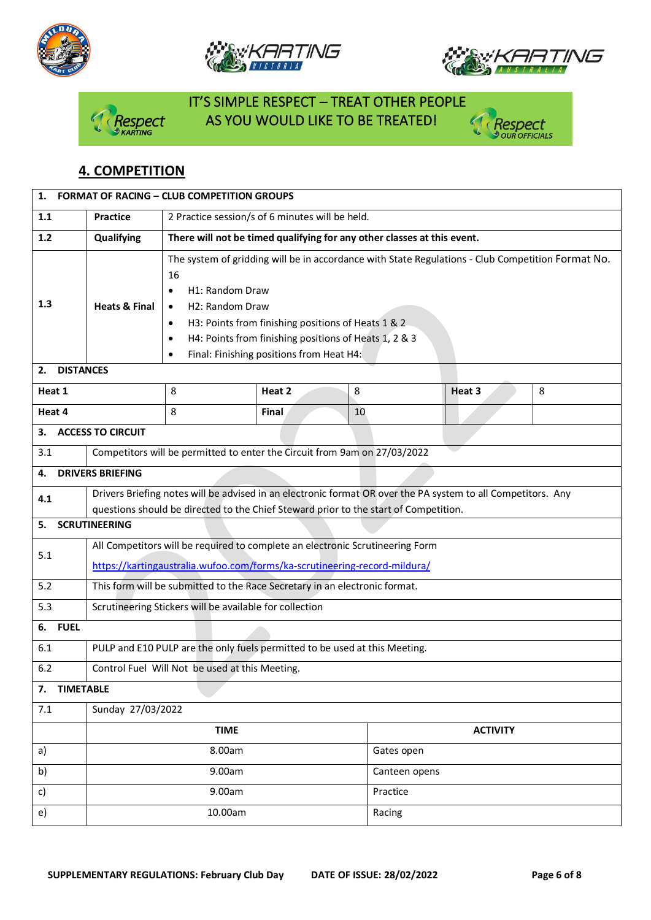







# IT'S SIMPLE RESPECT – TREAT OTHER PEOPLE espect AS YOU WOULD LIKE TO BE TREATED!



## **4. COMPETITION**

| 1.                     | <b>FORMAT OF RACING - CLUB COMPETITION GROUPS</b>                                                                                                                                                    |                                                                                                                                                                                                                                                                                                                                                 |        |    |                 |   |  |
|------------------------|------------------------------------------------------------------------------------------------------------------------------------------------------------------------------------------------------|-------------------------------------------------------------------------------------------------------------------------------------------------------------------------------------------------------------------------------------------------------------------------------------------------------------------------------------------------|--------|----|-----------------|---|--|
| 1.1                    | 2 Practice session/s of 6 minutes will be held.<br><b>Practice</b>                                                                                                                                   |                                                                                                                                                                                                                                                                                                                                                 |        |    |                 |   |  |
| 1.2                    | Qualifying                                                                                                                                                                                           | There will not be timed qualifying for any other classes at this event.                                                                                                                                                                                                                                                                         |        |    |                 |   |  |
| 1.3                    | <b>Heats &amp; Final</b>                                                                                                                                                                             | The system of gridding will be in accordance with State Regulations - Club Competition Format No.<br>16<br>H1: Random Draw<br>$\bullet$<br>H2: Random Draw<br>$\bullet$<br>H3: Points from finishing positions of Heats 1 & 2<br>$\bullet$<br>H4: Points from finishing positions of Heats 1, 2 & 3<br>Final: Finishing positions from Heat H4: |        |    |                 |   |  |
| <b>DISTANCES</b><br>2. |                                                                                                                                                                                                      |                                                                                                                                                                                                                                                                                                                                                 |        |    |                 |   |  |
| Heat 1                 |                                                                                                                                                                                                      | 8                                                                                                                                                                                                                                                                                                                                               | Heat 2 | 8  | Heat 3          | 8 |  |
| Heat 4                 |                                                                                                                                                                                                      | 8                                                                                                                                                                                                                                                                                                                                               | Final  | 10 |                 |   |  |
| 3.                     | <b>ACCESS TO CIRCUIT</b>                                                                                                                                                                             |                                                                                                                                                                                                                                                                                                                                                 |        |    |                 |   |  |
| 3.1                    |                                                                                                                                                                                                      | Competitors will be permitted to enter the Circuit from 9am on 27/03/2022                                                                                                                                                                                                                                                                       |        |    |                 |   |  |
| 4.                     | <b>DRIVERS BRIEFING</b>                                                                                                                                                                              |                                                                                                                                                                                                                                                                                                                                                 |        |    |                 |   |  |
| 4.1                    | Drivers Briefing notes will be advised in an electronic format OR over the PA system to all Competitors. Any<br>questions should be directed to the Chief Steward prior to the start of Competition. |                                                                                                                                                                                                                                                                                                                                                 |        |    |                 |   |  |
| 5.                     | <b>SCRUTINEERING</b>                                                                                                                                                                                 |                                                                                                                                                                                                                                                                                                                                                 |        |    |                 |   |  |
| 5.1                    | All Competitors will be required to complete an electronic Scrutineering Form<br>https://kartingaustralia.wufoo.com/forms/ka-scrutineering-record-mildura/                                           |                                                                                                                                                                                                                                                                                                                                                 |        |    |                 |   |  |
| 5.2                    |                                                                                                                                                                                                      | This form will be submitted to the Race Secretary in an electronic format.                                                                                                                                                                                                                                                                      |        |    |                 |   |  |
| 5.3                    | Scrutineering Stickers will be available for collection                                                                                                                                              |                                                                                                                                                                                                                                                                                                                                                 |        |    |                 |   |  |
| <b>FUEL</b><br>6.      |                                                                                                                                                                                                      |                                                                                                                                                                                                                                                                                                                                                 |        |    |                 |   |  |
| 6.1                    |                                                                                                                                                                                                      | PULP and E10 PULP are the only fuels permitted to be used at this Meeting.                                                                                                                                                                                                                                                                      |        |    |                 |   |  |
| 6.2                    | Control Fuel Will Not be used at this Meeting.                                                                                                                                                       |                                                                                                                                                                                                                                                                                                                                                 |        |    |                 |   |  |
| <b>TIMETABLE</b><br>7. |                                                                                                                                                                                                      |                                                                                                                                                                                                                                                                                                                                                 |        |    |                 |   |  |
| 7.1                    | Sunday 27/03/2022                                                                                                                                                                                    |                                                                                                                                                                                                                                                                                                                                                 |        |    |                 |   |  |
|                        | <b>TIME</b>                                                                                                                                                                                          |                                                                                                                                                                                                                                                                                                                                                 |        |    | <b>ACTIVITY</b> |   |  |
| a)                     |                                                                                                                                                                                                      | 8.00am                                                                                                                                                                                                                                                                                                                                          |        |    | Gates open      |   |  |
| b)                     | 9.00am                                                                                                                                                                                               |                                                                                                                                                                                                                                                                                                                                                 |        |    | Canteen opens   |   |  |
| c)                     | 9.00am                                                                                                                                                                                               |                                                                                                                                                                                                                                                                                                                                                 |        |    | Practice        |   |  |
| e)                     | 10.00am<br>Racing                                                                                                                                                                                    |                                                                                                                                                                                                                                                                                                                                                 |        |    |                 |   |  |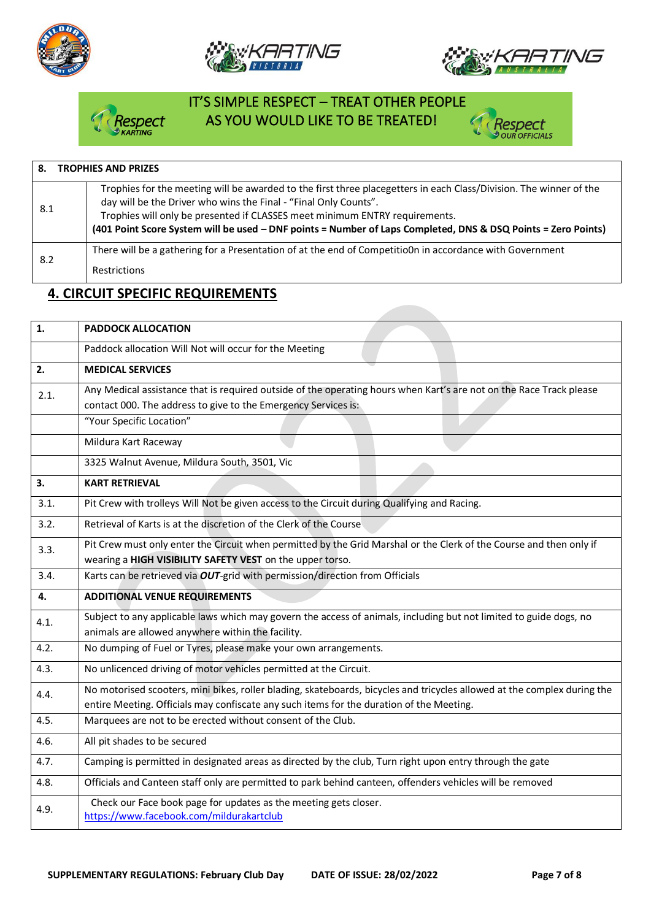







# IT'S SIMPLE RESPECT – TREAT OTHER PEOPLE Respect AS YOU WOULD LIKE TO BE TREATED!



| <b>TROPHIES AND PRIZES</b><br>8. |                                                                                                                                                                                                                                                                                                                                                                                        |  |  |  |  |
|----------------------------------|----------------------------------------------------------------------------------------------------------------------------------------------------------------------------------------------------------------------------------------------------------------------------------------------------------------------------------------------------------------------------------------|--|--|--|--|
| 8.1                              | Trophies for the meeting will be awarded to the first three placegetters in each Class/Division. The winner of the<br>day will be the Driver who wins the Final - "Final Only Counts".<br>Trophies will only be presented if CLASSES meet minimum ENTRY requirements.<br>(401 Point Score System will be used - DNF points = Number of Laps Completed, DNS & DSQ Points = Zero Points) |  |  |  |  |
| 8.2                              | There will be a gathering for a Presentation of at the end of CompetitioOn in accordance with Government<br><b>Restrictions</b>                                                                                                                                                                                                                                                        |  |  |  |  |

## **4. CIRCUIT SPECIFIC REQUIREMENTS**

| 1.   | <b>PADDOCK ALLOCATION</b>                                                                                                                                                                                            |  |  |
|------|----------------------------------------------------------------------------------------------------------------------------------------------------------------------------------------------------------------------|--|--|
|      | Paddock allocation Will Not will occur for the Meeting                                                                                                                                                               |  |  |
| 2.   | <b>MEDICAL SERVICES</b>                                                                                                                                                                                              |  |  |
| 2.1. | Any Medical assistance that is required outside of the operating hours when Kart's are not on the Race Track please<br>contact 000. The address to give to the Emergency Services is:                                |  |  |
|      | "Your Specific Location"                                                                                                                                                                                             |  |  |
|      | Mildura Kart Raceway                                                                                                                                                                                                 |  |  |
|      | 3325 Walnut Avenue, Mildura South, 3501, Vic                                                                                                                                                                         |  |  |
| 3.   | <b>KART RETRIEVAL</b>                                                                                                                                                                                                |  |  |
| 3.1. | Pit Crew with trolleys Will Not be given access to the Circuit during Qualifying and Racing.                                                                                                                         |  |  |
| 3.2. | Retrieval of Karts is at the discretion of the Clerk of the Course                                                                                                                                                   |  |  |
| 3.3. | Pit Crew must only enter the Circuit when permitted by the Grid Marshal or the Clerk of the Course and then only if<br>wearing a HIGH VISIBILITY SAFETY VEST on the upper torso.                                     |  |  |
| 3.4. | Karts can be retrieved via OUT-grid with permission/direction from Officials                                                                                                                                         |  |  |
| 4.   | <b>ADDITIONAL VENUE REQUIREMENTS</b>                                                                                                                                                                                 |  |  |
| 4.1. | Subject to any applicable laws which may govern the access of animals, including but not limited to guide dogs, no<br>animals are allowed anywhere within the facility.                                              |  |  |
| 4.2. | No dumping of Fuel or Tyres, please make your own arrangements.                                                                                                                                                      |  |  |
| 4.3. | No unlicenced driving of motor vehicles permitted at the Circuit.                                                                                                                                                    |  |  |
| 4.4. | No motorised scooters, mini bikes, roller blading, skateboards, bicycles and tricycles allowed at the complex during the<br>entire Meeting. Officials may confiscate any such items for the duration of the Meeting. |  |  |
| 4.5. | Marquees are not to be erected without consent of the Club.                                                                                                                                                          |  |  |
| 4.6. | All pit shades to be secured                                                                                                                                                                                         |  |  |
| 4.7. | Camping is permitted in designated areas as directed by the club, Turn right upon entry through the gate                                                                                                             |  |  |
| 4.8. | Officials and Canteen staff only are permitted to park behind canteen, offenders vehicles will be removed                                                                                                            |  |  |
| 4.9. | Check our Face book page for updates as the meeting gets closer.<br>https://www.facebook.com/mildurakartclub                                                                                                         |  |  |